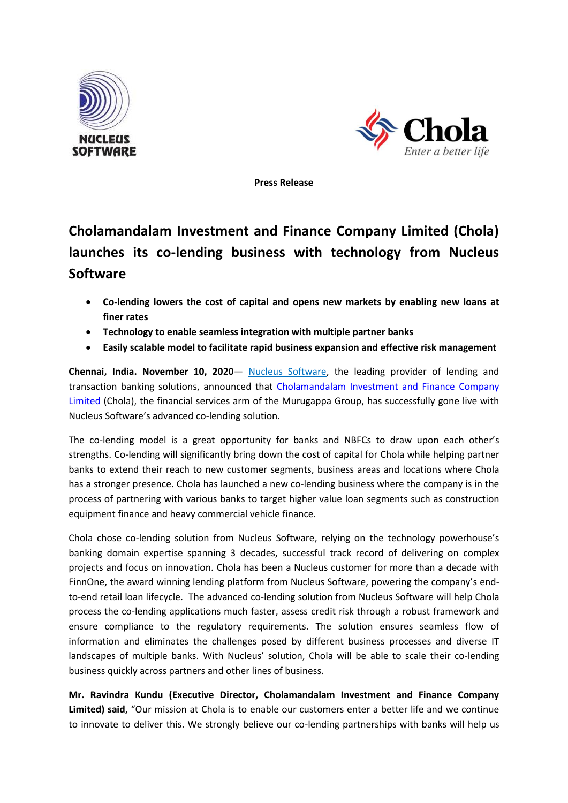



**Press Release**

## **Cholamandalam Investment and Finance Company Limited (Chola) launches its co-lending business with technology from Nucleus Software**

- **Co-lending lowers the cost of capital and opens new markets by enabling new loans at finer rates**
- **Technology to enable seamless integration with multiple partner banks**
- **Easily scalable model to facilitate rapid business expansion and effective risk management**

**Chennai, India. November 10, 2020**— [Nucleus Software,](http://www.nucleussoftware.com/) the leading provider of lending and transaction banking solutions, announced that [Cholamandalam Investment and Finance Company](https://www.cholamandalam.com/default.aspx) Limited (Chola), the financial services arm of the Murugappa Group, has successfully gone live with Nucleus Software's advanced co-lending solution.

The co-lending model is a great opportunity for banks and NBFCs to draw upon each other's strengths. Co-lending will significantly bring down the cost of capital for Chola while helping partner banks to extend their reach to new customer segments, business areas and locations where Chola has a stronger presence. Chola has launched a new co-lending business where the company is in the process of partnering with various banks to target higher value loan segments such as construction equipment finance and heavy commercial vehicle finance.

Chola chose co-lending solution from Nucleus Software, relying on the technology powerhouse's banking domain expertise spanning 3 decades, successful track record of delivering on complex projects and focus on innovation. Chola has been a Nucleus customer for more than a decade with FinnOne, the award winning lending platform from Nucleus Software, powering the company's endto-end retail loan lifecycle. The advanced co-lending solution from Nucleus Software will help Chola process the co-lending applications much faster, assess credit risk through a robust framework and ensure compliance to the regulatory requirements. The solution ensures seamless flow of information and eliminates the challenges posed by different business processes and diverse IT landscapes of multiple banks. With Nucleus' solution, Chola will be able to scale their co-lending business quickly across partners and other lines of business.

**Mr. Ravindra Kundu (Executive Director, Cholamandalam Investment and Finance Company Limited) said,** "Our mission at Chola is to enable our customers enter a better life and we continue to innovate to deliver this. We strongly believe our co-lending partnerships with banks will help us